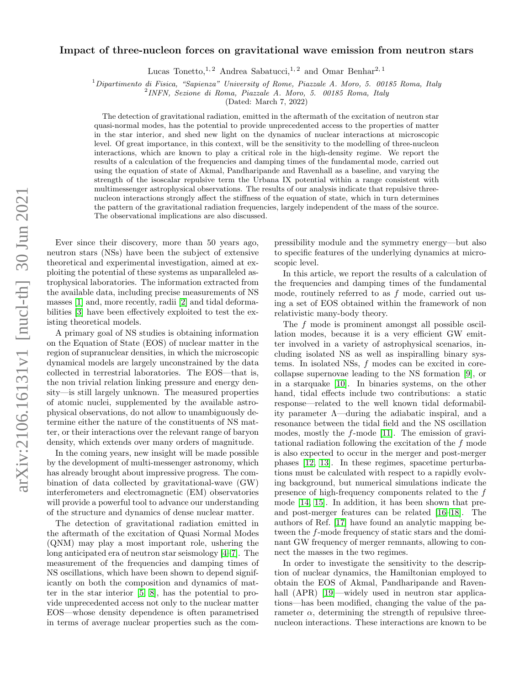# arXiv:2106.16131v1 [nucl-th] 30 Jun 2021 arXiv:2106.16131v1 [nucl-th] 30 Jun 2021

# Impact of three-nucleon forces on gravitational wave emission from neutron stars

Lucas Tonetto, <sup>1, 2</sup> Andrea Sabatucci, <sup>1, 2</sup> and Omar Benhar<sup>2, 1</sup>

 $1$ Dipartimento di Fisica, "Sapienza" University of Rome, Piazzale A. Moro, 5. 00185 Roma, Italy

2 INFN, Sezione di Roma, Piazzale A. Moro, 5. 00185 Roma, Italy

(Dated: March 7, 2022)

The detection of gravitational radiation, emitted in the aftermath of the excitation of neutron star quasi-normal modes, has the potential to provide unprecedented access to the properties of matter in the star interior, and shed new light on the dynamics of nuclear interactions at microscopic level. Of great importance, in this context, will be the sensitivity to the modelling of three-nucleon interactions, which are known to play a critical role in the high-density regime. We report the results of a calculation of the frequencies and damping times of the fundamental mode, carried out using the equation of state of Akmal, Pandharipande and Ravenhall as a baseline, and varying the strength of the isoscalar repulsive term the Urbana IX potential within a range consistent with multimessenger astrophysical observations. The results of our analysis indicate that repulsive threenucleon interactions strongly affect the stiffness of the equation of state, which in turn determines the pattern of the gravitational radiation frequencies, largely independent of the mass of the source. The observational implications are also discussed.

Ever since their discovery, more than 50 years ago, neutron stars (NSs) have been the subject of extensive theoretical and experimental investigation, aimed at exploiting the potential of these systems as unparalleled astrophysical laboratories. The information extracted from the available data, including precise measurements of NS masses [\[1\]](#page-7-0) and, more recently, radii [\[2\]](#page-7-1) and tidal deformabilities [\[3\]](#page-7-2) have been effectively exploited to test the existing theoretical models.

A primary goal of NS studies is obtaining information on the Equation of State (EOS) of nuclear matter in the region of supranuclear densities, in which the microscopic dynamical models are largely unconstrained by the data collected in terrestrial laboratories. The EOS—that is, the non trivial relation linking pressure and energy density—is still largely unknown. The measured properties of atomic nuclei, supplemented by the available astrophysical observations, do not allow to unambiguously determine either the nature of the constituents of NS matter, or their interactions over the relevant range of baryon density, which extends over many orders of magnitude.

In the coming years, new insight will be made possible by the development of multi-messenger astronomy, which has already brought about impressive progress. The combination of data collected by gravitational-wave (GW) interferometers and electromagnetic (EM) observatories will provide a powerful tool to advance our understanding of the structure and dynamics of dense nuclear matter.

The detection of gravitational radiation emitted in the aftermath of the excitation of Quasi Normal Modes (QNM) may play a most important role, ushering the long anticipated era of neutron star seismology [\[4](#page-7-3)[–7\]](#page-7-4). The measurement of the frequencies and damping times of NS oscillations, which have been shown to depend significantly on both the composition and dynamics of matter in the star interior [\[5,](#page-7-5) [8\]](#page-7-6), has the potential to provide unprecedented access not only to the nuclear matter EOS—whose density dependence is often parametrised in terms of average nuclear properties such as the com-

pressibility module and the symmetry energy—but also to specific features of the underlying dynamics at microscopic level.

In this article, we report the results of a calculation of the frequencies and damping times of the fundamental mode, routinely referred to as f mode, carried out using a set of EOS obtained within the framework of non relativistic many-body theory.

The f mode is prominent amongst all possible oscillation modes, because it is a very efficient GW emitter involved in a variety of astrophysical scenarios, including isolated NS as well as inspiralling binary systems. In isolated NSs, f modes can be excited in corecollapse supernovae leading to the NS formation [\[9\]](#page-7-7), or in a starquake [\[10\]](#page-7-8). In binaries systems, on the other hand, tidal effects include two contributions: a static response—related to the well known tidal deformability parameter Λ—during the adiabatic inspiral, and a resonance between the tidal field and the NS oscillation modes, mostly the f-mode [\[11\]](#page-7-9). The emission of gravitational radiation following the excitation of the f mode is also expected to occur in the merger and post-merger phases [\[12,](#page-7-10) [13\]](#page-7-11). In these regimes, spacetime perturbations must be calculated with respect to a rapidly evolving background, but numerical simulations indicate the presence of high-frequency components related to the f mode [\[14,](#page-7-12) [15\]](#page-7-13). In addition, it has been shown that preand post-merger features can be related [\[16–](#page-7-14)[18\]](#page-7-15). The authors of Ref. [\[17\]](#page-7-16) have found an analytic mapping between the f-mode frequency of static stars and the dominant GW frequency of merger remnants, allowing to connect the masses in the two regimes.

In order to investigate the sensitivity to the description of nuclear dynamics, the Hamiltonian employed to obtain the EOS of Akmal, Pandharipande and Raven-hall (APR) [\[19\]](#page-7-17)—widely used in neutron star applications—has been modified, changing the value of the parameter  $\alpha$ , determining the strength of repulsive threenucleon interactions. These interactions are known to be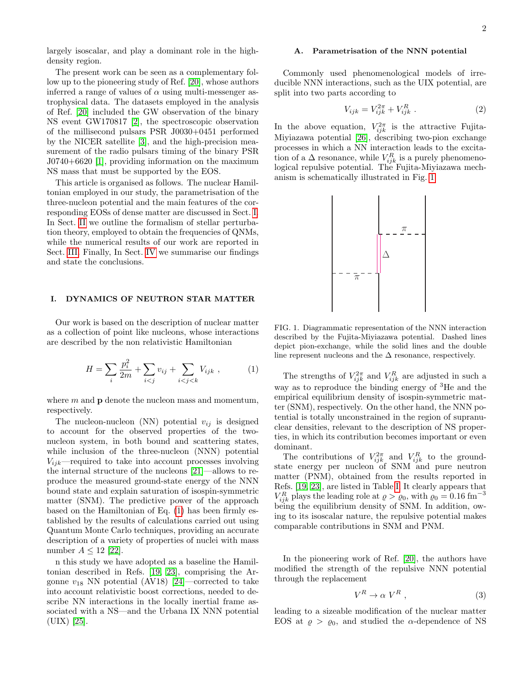largely isoscalar, and play a dominant role in the highdensity region.

The present work can be seen as a complementary follow up to the pioneering study of Ref. [\[20\]](#page-7-18), whose authors inferred a range of values of  $\alpha$  using multi-messenger astrophysical data. The datasets employed in the analysis of Ref. [\[20\]](#page-7-18) included the GW observation of the binary NS event GW170817 [\[2\]](#page-7-1), the spectroscopic observation of the millisecond pulsars PSR J0030+0451 performed by the NICER satellite [\[3\]](#page-7-2), and the high-precision measurement of the radio pulsars timing of the binary PSR J0740+6620 [\[1\]](#page-7-0), providing information on the maximum NS mass that must be supported by the EOS.

This article is organised as follows. The nuclear Hamiltonian employed in our study, the parametrisation of the three-nucleon potential and the main features of the corresponding EOSs of dense matter are discussed in Sect. [I.](#page-1-0) In Sect. [II](#page-3-0) we outline the formalism of stellar perturbation theory, employed to obtain the frequencies of QNMs, while the numerical results of our work are reported in Sect. [III.](#page-5-0) Finally, In Sect. [IV](#page-6-0) we summarise our findings and state the conclusions.

### <span id="page-1-0"></span>I. DYNAMICS OF NEUTRON STAR MATTER

Our work is based on the description of nuclear matter as a collection of point like nucleons, whose interactions are described by the non relativistic Hamiltonian

<span id="page-1-1"></span>
$$
H = \sum_{i} \frac{p_i^2}{2m} + \sum_{i < j} v_{ij} + \sum_{i < j < k} V_{ijk} \,, \tag{1}
$$

where  $m$  and  $p$  denote the nucleon mass and momentum, respectively.

The nucleon-nucleon (NN) potential  $v_{ij}$  is designed to account for the observed properties of the twonucleon system, in both bound and scattering states, while inclusion of the three-nucleon (NNN) potential  $V_{ijk}$ —required to take into account processes involving the internal structure of the nucleons [\[21\]](#page-7-19)—allows to reproduce the measured ground-state energy of the NNN bound state and explain saturation of isospin-symmetric matter (SNM). The predictive power of the approach based on the Hamiltonian of Eq. [\(1\)](#page-1-1) has been firmly established by the results of calculations carried out using Quantum Monte Carlo techniques, providing an accurate description of a variety of properties of nuclei with mass number  $A \leq 12$  [\[22\]](#page-7-20).

n this study we have adopted as a baseline the Hamiltonian described in Refs. [\[19,](#page-7-17) [23\]](#page-7-21), comprising the Argonne  $v_{18}$  NN potential (AV18) [\[24\]](#page-7-22)—corrected to take into account relativistic boost corrections, needed to describe NN interactions in the locally inertial frame associated with a NS—and the Urbana IX NNN potential (UIX) [\[25\]](#page-7-23).

# <span id="page-1-4"></span>A. Parametrisation of the NNN potential

Commonly used phenomenological models of irreducible NNN interactions, such as the UIX potential, are split into two parts according to

$$
V_{ijk} = V_{ijk}^{2\pi} + V_{ijk}^R .
$$
 (2)

In the above equation,  $V_{ijk}^{2\pi}$  is the attractive Fujita-Miyiazawa potential [\[26\]](#page-7-24), describing two-pion exchange processes in which a NN interaction leads to the excitation of a  $\Delta$  resonance, while  $V_{ijk}^R$  is a purely phenomenological repulsive potential. The Fujita-Miyiazawa mechanism is schematically illustrated in Fig. [1.](#page-1-2)



<span id="page-1-2"></span>FIG. 1. Diagrammatic representation of the NNN interaction described by the Fujita-Miyiazawa potential. Dashed lines depict pion-exchange, while the solid lines and the double line represent nucleons and the  $\Delta$  resonance, respectively.

The strengths of  $V_{ijk}^{2\pi}$  and  $V_{ijk}^{R}$  are adjusted in such a way as to reproduce the binding energy of  ${}^{3}$ He and the empirical equilibrium density of isospin-symmetric matter (SNM), respectively. On the other hand, the NNN potential is totally unconstrained in the region of supranuclear densities, relevant to the description of NS properties, in which its contribution becomes important or even dominant.

The contributions of  $V_{ijk}^{2\pi}$  and  $V_{ijk}^{R}$  to the groundstate energy per nucleon of SNM and pure neutron matter (PNM), obtained from the results reported in Refs. [\[19,](#page-7-17) [23\]](#page-7-21), are listed in Table [I.](#page-2-0) It clearly appears that  $V_{ijk}^R$  plays the leading role at  $\rho > \varrho_0$ , with  $\varrho_0 = 0.16 \text{ fm}^{-3}$ being the equilibrium density of SNM. In addition, owing to its isoscalar nature, the repulsive potential makes comparable contributions in SNM and PNM.

In the pioneering work of Ref. [\[20\]](#page-7-18), the authors have modified the strength of the repulsive NNN potential through the replacement

<span id="page-1-3"></span>
$$
V^R \to \alpha \ V^R \ , \tag{3}
$$

leading to a sizeable modification of the nuclear matter EOS at  $\rho > \rho_0$ , and studied the  $\alpha$ -dependence of NS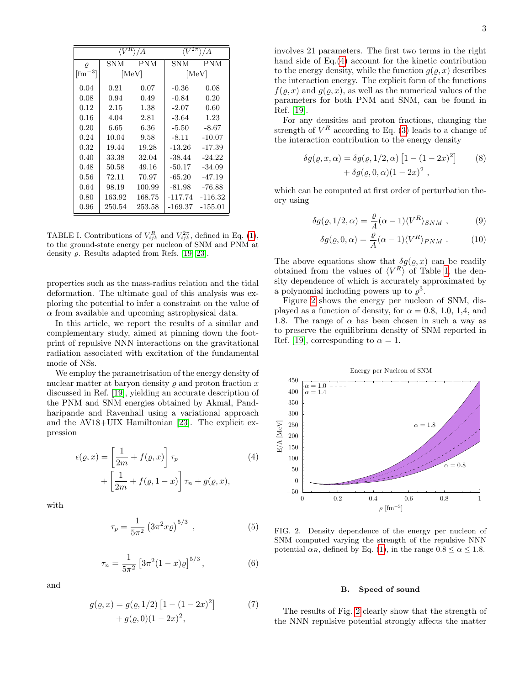|                    | ۱/A    |            | $V^{2\overline{\pi}}$<br>8 / A |            |
|--------------------|--------|------------|--------------------------------|------------|
| $\varrho$          | SNM    | <b>PNM</b> | <b>SNM</b>                     | <b>PNM</b> |
| $[\text{fm}^{-3}]$ | [MeV]  |            | [MeV]                          |            |
| 0.04               | 0.21   | 0.07       | $-0.36$                        | 0.08       |
| 0.08               | 0.94   | 0.49       | $-0.84$                        | 0.20       |
| 0.12               | 2.15   | 1.38       | $-2.07$                        | 0.60       |
| 0.16               | 4.04   | 2.81       | $-3.64$                        | 1.23       |
| 0.20               | 6.65   | 6.36       | $-5.50$                        | $-8.67$    |
| 0.24               | 10.04  | 9.58       | $-8.11$                        | $-10.07$   |
| 0.32               | 19.44  | 19.28      | $-13.26$                       | $-17.39$   |
| 0.40               | 33.38  | 32.04      | $-38.44$                       | $-24.22$   |
| 0.48               | 50.58  | 49.16      | $-50.17$                       | $-34.09$   |
| $0.56\,$           | 72.11  | 70.97      | $-65.20$                       | $-47.19$   |
| 0.64               | 98.19  | 100.99     | $-81.98$                       | $-76.88$   |
| 0.80               | 163.92 | 168.75     | $-117.74$                      | $-116.32$  |
| $0.96\,$           | 250.54 | 253.58     | $-169.37$                      | $-155.01$  |

<span id="page-2-0"></span>TABLE I. Contributions of  $V_{ijk}^R$  and  $V_{ijk}^{2\pi}$ , defined in Eq. [\(1\)](#page-1-2), to the ground-state energy per nucleon of SNM and PNM at density  $\rho$ . Results adapted from Refs. [\[19,](#page-7-17) [23\]](#page-7-21).

properties such as the mass-radius relation and the tidal deformation. The ultimate goal of this analysis was exploring the potential to infer a constraint on the value of  $\alpha$  from available and upcoming astrophysical data.

In this article, we report the results of a similar and complementary study, aimed at pinning down the footprint of repulsive NNN interactions on the gravitational radiation associated with excitation of the fundamental mode of NSs.

We employ the parametrisation of the energy density of nuclear matter at baryon density  $\rho$  and proton fraction x discussed in Ref. [\[19\]](#page-7-17), yielding an accurate description of the PNM and SNM energies obtained by Akmal, Pandharipande and Ravenhall using a variational approach and the AV18+UIX Hamiltonian [\[23\]](#page-7-21). The explicit expression

$$
\epsilon(\varrho, x) = \left[\frac{1}{2m} + f(\varrho, x)\right] \tau_p
$$
  
+ 
$$
\left[\frac{1}{2m} + f(\varrho, 1 - x)\right] \tau_n + g(\varrho, x),
$$
 (4)

with

$$
\tau_p = \frac{1}{5\pi^2} \left( 3\pi^2 x \varrho \right)^{5/3} , \qquad (5)
$$

$$
\tau_n = \frac{1}{5\pi^2} \left[ 3\pi^2 (1-x)\varrho \right]^{5/3},\tag{6}
$$

and

$$
g(\varrho, x) = g(\varrho, 1/2) \left[ 1 - (1 - 2x)^2 \right] + g(\varrho, 0) (1 - 2x)^2,
$$
 (7)

involves 21 parameters. The first two terms in the right hand side of Eq.[\(4\)](#page-2-1) account for the kinetic contribution to the energy density, while the function  $g(\rho, x)$  describes the interaction energy. The explicit form of the functions  $f(\varrho, x)$  and  $g(\varrho, x)$ , as well as the numerical values of the parameters for both PNM and SNM, can be found in Ref. [\[19\]](#page-7-17).

For any densities and proton fractions, changing the strength of  $V^R$  according to Eq. [\(3\)](#page-1-3) leads to a change of the interaction contribution to the energy density

$$
\delta g(\varrho, x, \alpha) = \delta g(\varrho, 1/2, \alpha) \left[ 1 - (1 - 2x)^2 \right] \qquad (8)
$$

$$
+ \delta g(\varrho, 0, \alpha) (1 - 2x)^2 ,
$$

which can be computed at first order of perturbation theory using

$$
\delta g(\varrho, 1/2, \alpha) = \frac{\varrho}{A} (\alpha - 1) \langle V^R \rangle_{SNM} , \qquad (9)
$$

$$
\delta g(\varrho, 0, \alpha) = \frac{\varrho}{A} (\alpha - 1) \langle V^R \rangle_{PNM} . \tag{10}
$$

The above equations show that  $\delta g(\varrho, x)$  can be readily obtained from the values of  $\langle V^R \rangle$  of Table [I,](#page-2-0) the density dependence of which is accurately approximated by a polynomial including powers up to  $\varrho^3$ .

Figure [2](#page-2-2) shows the energy per nucleon of SNM, displayed as a function of density, for  $\alpha = 0.8, 1.0, 1.4,$  and 1.8. The range of  $\alpha$  has been chosen in such a way as to preserve the equilibrium density of SNM reported in Ref. [\[19\]](#page-7-17), corresponding to  $\alpha = 1$ .

<span id="page-2-1"></span>

<span id="page-2-2"></span>FIG. 2. Density dependence of the energy per nucleon of SNM computed varying the strength of the repulsive NNN potential  $\alpha_R$ , defined by Eq. [\(1\)](#page-1-2), in the range  $0.8 \leq \alpha \leq 1.8$ .

### <span id="page-2-3"></span>B. Speed of sound

1 the NNN repulsive potential strongly affects the matterThe results of Fig. [2](#page-2-2) clearly show that the strength of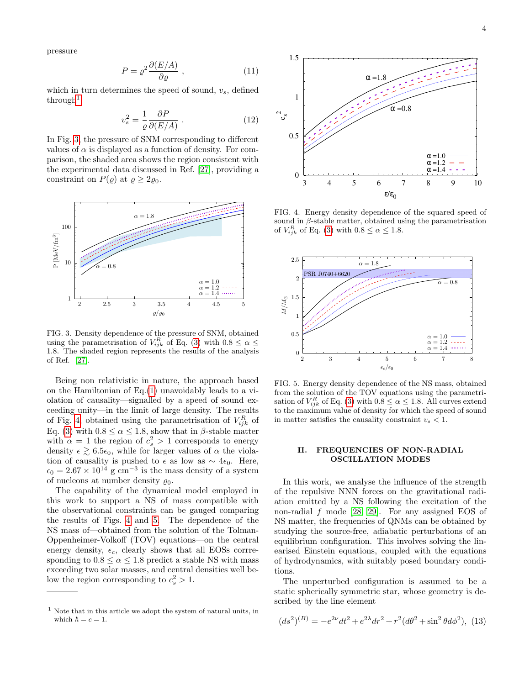pressure

$$
P = \rho^2 \frac{\partial (E/A)}{\partial \varrho} \;, \tag{11}
$$

which in turn determines the speed of sound,  $v_s$ , defined  $through<sup>1</sup>$  $through<sup>1</sup>$  $through<sup>1</sup>$ 

$$
v_s^2 = \frac{1}{\varrho} \frac{\partial P}{\partial (E/A)} \,. \tag{12}
$$

In Fig. [3,](#page-3-2) the pressure of SNM corresponding to different values of  $\alpha$  is displayed as a function of density. For comparison, the shaded area shows the region consistent with the experimental data discussed in Ref. [\[27\]](#page-7-25), providing a constraint on  $P(\varrho)$  at  $\varrho \geq 2\varrho_0$ .



<span id="page-3-2"></span>FIG. 3. Density dependence of the pressure of SNM, obtained using the parametrisation of  $V_{ijk}^R$  of Eq. [\(3\)](#page-1-3) with  $0.8 \leq \alpha \leq$ 1.8. The shaded region represents the results of the analysis of Ref. [\[27\]](#page-7-25).

of Fig. [4,](#page-3-3) obtained using the parametrisation of  $V_{ijk}^R$  of Being non relativistic in nature, the approach based on the Hamiltonian of Eq.[\(1\)](#page-1-1) unavoidably leads to a violation of causality—signalled by a speed of sound exceeding unity—in the limit of large density. The results Eq. [\(3\)](#page-1-3) with  $0.8 \le \alpha \le 1.8$ , show that in  $\beta$ -stable matter with  $\alpha = 1$  the region of  $c_s^2 > 1$  corresponds to energy density  $\epsilon \gtrsim 6.5\epsilon_0$ , while for larger values of  $\alpha$  the violation of causality is pushed to  $\epsilon$  as low as  $\sim 4\epsilon_0$ . Here,  $\epsilon_0 = 2.67 \times 10^{14}$  g cm<sup>-3</sup> is the mass density of a system of nucleons at number density  $\rho_0$ .

The capability of the dynamical model employed in this work to support a NS of mass compatible with the observational constraints can be gauged comparing the results of Figs. [4](#page-3-3) and [5.](#page-3-4) The dependence of the NS mass of—obtained from the solution of the Tolman-Oppenheimer-Volkoff (TOV) equations—on the central energy density,  $\epsilon_c$ , clearly shows that all EOSs corrresponding to  $0.8 \le \alpha \le 1.8$  predict a stable NS with mass exceeding two solar masses, and central densities well below the region corresponding to  $c_s^2 > 1$ .



<span id="page-3-3"></span>FIG. 4. Energy density dependence of the squared speed of sound in  $\beta$ -stable matter, obtained using the parametrisation of  $V_{ijk}^R$  of Eq. [\(3\)](#page-1-3) with  $0.8 \le \alpha \le 1.8$ .



<span id="page-3-4"></span>FIG. 5. Energy density dependence of the NS mass, obtained from the solution of the TOV equations using the parametrisation of  $V_{ijk}^R$  of Eq. [\(3\)](#page-1-3) with  $0.8 \le \alpha \le 1.8$ . All curves extend to the maximum value of density for which the speed of sound in matter satisfies the causality constraint  $v_s < 1$ .

## <span id="page-3-0"></span>II. FREQUENCIES OF NON-RADIAL OSCILLATION MODES

1 In this work, we analyse the influence of the strength of the repulsive NNN forces on the gravitational radiation emitted by a NS following the excitation of the non-radial  $f$  mode [\[28,](#page-7-26) [29\]](#page-7-27). For any assigned EOS of NS matter, the frequencies of QNMs can be obtained by studying the source-free, adiabatic perturbations of an equilibrium configuration. This involves solving the linearised Einstein equations, coupled with the equations of hydrodynamics, with suitably posed boundary conditions.

The unperturbed configuration is assumed to be a static spherically symmetric star, whose geometry is described by the line element

$$
(ds^2)^{(B)} = -e^{2\nu}dt^2 + e^{2\lambda}dr^2 + r^2(d\theta^2 + \sin^2\theta d\phi^2),
$$
 (13)

<span id="page-3-1"></span> $^{\rm 1}$  Note that in this article we adopt the system of natural units, in which  $h = c = 1$ .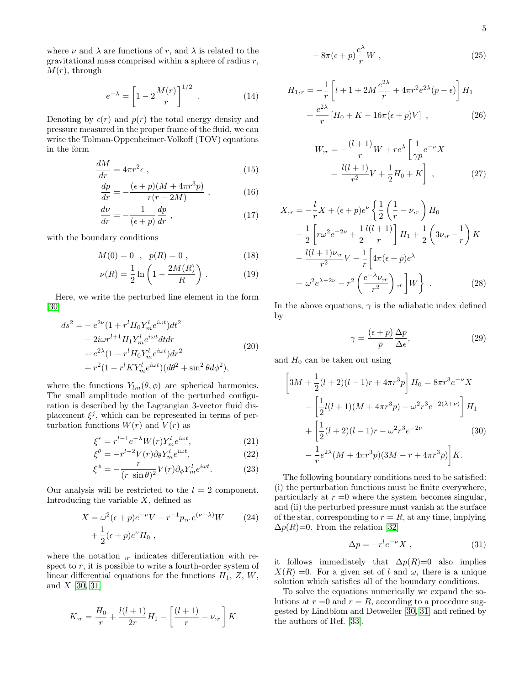where  $\nu$  and  $\lambda$  are functions of r, and  $\lambda$  is related to the gravitational mass comprised within a sphere of radius  $r$ ,  $M(r)$ , through

$$
e^{-\lambda} = \left[1 - 2\frac{M(r)}{r}\right]^{1/2} . \tag{14}
$$

Denoting by  $\epsilon(r)$  and  $p(r)$  the total energy density and pressure measured in the proper frame of the fluid, we can write the Tolman-Oppenheimer-Volkoff (TOV) equations in the form

$$
\frac{dM}{dr} = 4\pi r^2 \epsilon \tag{15}
$$

$$
\frac{dp}{dr} = -\frac{(\epsilon + p)(M + 4\pi r^3 p)}{r(r - 2M)},\tag{16}
$$

$$
\frac{d\nu}{dr} = -\frac{1}{(\epsilon + p)} \frac{dp}{dr} \;, \tag{17}
$$

with the boundary conditions

$$
M(0) = 0 \, , \, p(R) = 0 \, , \tag{18}
$$

$$
\nu(R) = \frac{1}{2} \ln \left( 1 - \frac{2M(R)}{R} \right) \,. \tag{19}
$$

Here, we write the perturbed line element in the form [\[30\]](#page-7-28)

$$
ds^{2} = -e^{2\nu}(1 + r^{l}H_{0}Y_{m}^{l}e^{i\omega t})dt^{2}
$$
  
\n
$$
-2i\omega r^{l+1}H_{1}Y_{m}^{l}e^{i\omega t}dtdr
$$
  
\n
$$
+e^{2\lambda}(1 - r^{l}H_{0}Y_{m}^{l}e^{i\omega t})dr^{2}
$$
  
\n
$$
+r^{2}(1 - r^{l}KY_{m}^{l}e^{i\omega t})(d\theta^{2} + \sin^{2}\theta d\phi^{2}),
$$
\n(20)

where the functions  $Y_{lm}(\theta, \phi)$  are spherical harmonics. The small amplitude motion of the perturbed configuration is described by the Lagrangian 3-vector fluid displacement  $\xi^j$ , which can be represented in terms of perturbation functions  $W(r)$  and  $V(r)$  as

$$
\xi^r = r^{l-1} e^{-\lambda} W(r) Y_m^l e^{i\omega t},\tag{21}
$$

$$
\xi^{\theta} = -r^{l-2} V(r) \partial_{\theta} Y_m^l e^{i\omega t},\qquad(22)
$$

$$
\xi^{\phi} = -\frac{r}{(r \sin \theta)^2} V(r) \partial_{\phi} Y_m^l e^{i\omega t}.
$$
 (23)

Our analysis will be restricted to the  $l = 2$  component. Introducing the variable  $X$ , defined as

$$
X = \omega^2 (\epsilon + p) e^{-\nu} V - r^{-1} p_{,r} e^{(\nu - \lambda)} W \qquad (24)
$$

$$
+ \frac{1}{2} (\epsilon + p) e^{\nu} H_0 ,
$$

where the notation  $r$ , indicates differentiation with respect to  $r$ , it is possible to write a fourth-order system of linear differential equations for the functions  $H_1$ ,  $Z$ ,  $W$ , and  $X$  [\[30,](#page-7-28) [31\]](#page-7-29)

$$
K_{,r} = \frac{H_0}{r} + \frac{l(l+1)}{2r}H_1 - \left[\frac{(l+1)}{r} - \nu_{,r}\right]K
$$

$$
-8\pi(\epsilon+p)\frac{e^{\lambda}}{r}W\ ,\qquad (25)
$$

$$
H_{1,r} = -\frac{1}{r} \left[ l + 1 + 2M \frac{e^{2\lambda}}{r} + 4\pi r^2 e^{2\lambda} (p - \epsilon) \right] H_1 + \frac{e^{2\lambda}}{r} \left[ H_0 + K - 16\pi (\epsilon + p) V \right] , \qquad (26)
$$

$$
W_{,r} = -\frac{(l+1)}{r}W + re^{\lambda} \left[ \frac{1}{\gamma p} e^{-\nu} X - \frac{l(l+1)}{r^2} V + \frac{1}{2} H_0 + K \right],
$$
 (27)

$$
X_{,r} = -\frac{l}{r}X + (\epsilon + p)e^{\nu} \left\{ \frac{1}{2} \left( \frac{1}{r} - \nu_{,r} \right) H_0 \right.+ \frac{1}{2} \left[ r\omega^2 e^{-2\nu} + \frac{1}{2} \frac{l(l+1)}{r} \right] H_1 + \frac{1}{2} \left( 3\nu_{,r} - \frac{1}{r} \right) K - \frac{l(l+1)\nu_{,r}}{r^2} V - \frac{1}{r} \left[ 4\pi(\epsilon + p)e^{\lambda} + \omega^2 e^{\lambda - 2\nu} - r^2 \left( \frac{e^{-\lambda}\nu_{,r}}{r^2} \right), r \right] W \right\}.
$$
 (28)

In the above equations,  $\gamma$  is the adiabatic index defined by

$$
\gamma = \frac{(\epsilon + p)}{p} \frac{\Delta p}{\Delta \epsilon},\tag{29}
$$

and  $H_0$  can be taken out using

$$
\[3M + \frac{1}{2}(l+2)(l-1)r + 4\pi r^3 p\] H_0 = 8\pi r^3 e^{-\nu} X
$$

$$
- \left[\frac{1}{2}l(l+1)(M + 4\pi r^3 p) - \omega^2 r^3 e^{-2(\lambda+\nu)}\right] H_1
$$

$$
+ \left[\frac{1}{2}(l+2)(l-1)r - \omega^2 r^3 e^{-2\nu} \qquad (30)
$$

$$
- \frac{1}{r} e^{2\lambda} (M + 4\pi r^3 p)(3M - r + 4\pi r^3 p)\right] K.
$$

The following boundary conditions need to be satisfied: (i) the perturbation functions must be finite everywhere, particularly at  $r = 0$  where the system becomes singular, and (ii) the perturbed pressure must vanish at the surface of the star, corresponding to  $r = R$ , at any time, implying  $\Delta p(R)=0$ . From the relation [\[32\]](#page-7-30)

$$
\Delta p = -r^l e^{-\nu} X \tag{31}
$$

it follows immediately that  $\Delta p(R)=0$  also implies  $X(R) = 0$ . For a given set of l and  $\omega$ , there is a unique solution which satisfies all of the boundary conditions.

To solve the equations numerically we expand the solutions at  $r = 0$  and  $r = R$ , according to a procedure suggested by Lindblom and Detweiler [\[30,](#page-7-28) [31\]](#page-7-29) and refined by the authors of Ref. [\[33\]](#page-7-31).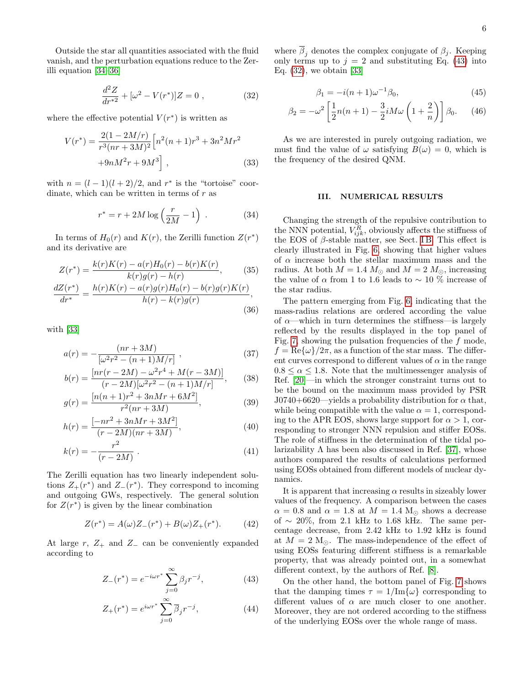Outside the star all quantities associated with the fluid vanish, and the perturbation equations reduce to the Zerilli equation [\[34–](#page-7-32)[36\]](#page-7-33)

<span id="page-5-2"></span>
$$
\frac{d^2Z}{dr^{*2}} + [\omega^2 - V(r^*)]Z = 0 , \qquad (32)
$$

where the effective potential  $V(r^*)$  is written as

$$
V(r^*) = \frac{2(1 - 2M/r)}{r^3(nr + 3M)^2} \left[ n^2(n+1)r^3 + 3n^2Mr^2 + 9nM^2r + 9M^3 \right],
$$
\n(33)

with  $n = (l-1)(l+2)/2$ , and  $r^*$  is the "tortoise" coordinate, which can be written in terms of  $r$  as

$$
r^* = r + 2M \log\left(\frac{r}{2M} - 1\right) \tag{34}
$$

In terms of  $H_0(r)$  and  $K(r)$ , the Zerilli function  $Z(r^*)$ and its derivative are

$$
Z(r^*) = \frac{k(r)K(r) - a(r)H_0(r) - b(r)K(r)}{k(r)g(r) - h(r)},
$$
(35)  

$$
\frac{dZ(r^*)}{dt} = \frac{h(r)K(r) - a(r)g(r)H_0(r) - b(r)g(r)K(r)}{k(r)g(r)H_0(r) - h(r)g(r)K(r)}
$$

$$
\frac{d^{2k}}{dr^{*}} = \frac{h(r)H(r) - h(r)g(r)H_0(r) - h(r)g(r)H_0(r)}{h(r) - k(r)g(r)},
$$
\n(36)

with [\[33\]](#page-7-31)

$$
a(r) = -\frac{(nr + 3M)}{\left[\omega^2 r^2 - (n+1)M/r\right]} \,,\tag{37}
$$

$$
b(r) = \frac{[nr(r - 2M) - \omega^2 r^4 + M(r - 3M)]}{(r - 2M)[\omega^2 r^2 - (n + 1)M/r]},
$$
 (38)

$$
g(r) = \frac{[n(n+1)r^2 + 3nMr + 6M^2]}{r^2(nr+3M)},
$$
\n(39)

$$
h(r) = \frac{[-nr^2 + 3nMr + 3M^2]}{(r - 2M)(nr + 3M)},
$$
\n(40)

$$
k(r) = -\frac{r^2}{(r - 2M)}\tag{41}
$$

The Zerilli equation has two linearly independent solutions  $Z_{+}(r^*)$  and  $Z_{-}(r^*)$ . They correspond to incoming and outgoing GWs, respectively. The general solution for  $Z(r^*)$  is given by the linear combination

$$
Z(r^*) = A(\omega)Z_-(r^*) + B(\omega)Z_+(r^*). \tag{42}
$$

At large r,  $Z_+$  and  $Z_-$  can be conveniently expanded according to

$$
Z_{-}(r^{*}) = e^{-i\omega r^{*}} \sum_{j=0}^{\infty} \beta_{j} r^{-j},
$$
\n(43)

$$
Z_{+}(r^{*}) = e^{i\omega r^{*}} \sum_{j=0}^{\infty} \overline{\beta}_{j} r^{-j}, \qquad (44)
$$

where  $\overline{\beta}_i$  denotes the complex conjugate of  $\beta_j$ . Keeping only terms up to  $j = 2$  and substituting Eq. [\(43\)](#page-5-1) into Eq. [\(32\)](#page-5-2), we obtain [\[33\]](#page-7-31)

$$
\beta_1 = -i(n+1)\omega^{-1}\beta_0,\tag{45}
$$

$$
\beta_2 = -\omega^2 \left[ \frac{1}{2} n(n+1) - \frac{3}{2} i M \omega \left( 1 + \frac{2}{n} \right) \right] \beta_0.
$$
 (46)

As we are interested in purely outgoing radiation, we must find the value of  $\omega$  satisfying  $B(\omega) = 0$ , which is the frequency of the desired QNM.

### <span id="page-5-0"></span>III. NUMERICAL RESULTS

Changing the strength of the repulsive contribution to the NNN potential,  $V_{ijk}^R$ , obviously affects the stiffness of the EOS of  $\beta$ -stable matter, see Sect. IB. This effect is clearly illustrated in Fig. [6,](#page-6-1) showing that higher values of  $\alpha$  increase both the stellar maximum mass and the radius. At both  $M = 1.4 M_{\odot}$  and  $M = 2 M_{\odot}$ , increasing the value of  $\alpha$  from 1 to 1.6 leads to ~ 10 % increase of the star radius.

The pattern emerging from Fig. [6,](#page-6-1) indicating that the mass-radius relations are ordered according the value of  $\alpha$ —which in turn determines the stiffness—is largely reflected by the results displayed in the top panel of Fig. [7,](#page-6-2) showing the pulsation frequencies of the  $f$  mode,  $f = \text{Re}\{\omega\}/2\pi$ , as a function of the star mass. The different curves correspond to different values of  $\alpha$  in the range  $0.8 \le \alpha \le 1.8$ . Note that the multimessenger analysis of Ref. [\[20\]](#page-7-18)—in which the stronger constraint turns out to be the bound on the maximum mass provided by PSR J0740+6620—yields a probability distribution for  $\alpha$  that, while being compatible with the value  $\alpha = 1$ , corresponding to the APR EOS, shows large support for  $\alpha > 1$ , corresponding to stronger NNN repulsion and stiffer EOSs. The role of stiffness in the determination of the tidal polarizability  $\Lambda$  has been also discussed in Ref. [\[37\]](#page-7-34), whose authors compared the results of calculations performed using EOSs obtained from different models of nuclear dynamics.

It is apparent that increasing  $\alpha$  results in sizeably lower values of the frequency. A comparison between the cases  $\alpha = 0.8$  and  $\alpha = 1.8$  at  $M = 1.4$  M<sub>o</sub> shows a decrease of  $\sim$  20%, from 2.1 kHz to 1.68 kHz. The same percentage decrease, from 2.42 kHz to 1.92 kHz is found at  $M = 2 \text{ M}_{\odot}$ . The mass-independence of the effect of using EOSs featuring different stiffness is a remarkable property, that was already pointed out, in a somewhat different context, by the authors of Ref. [\[8\]](#page-7-6).

<span id="page-5-1"></span>On the other hand, the bottom panel of Fig. [7](#page-6-2) shows that the damping times  $\tau = 1/\text{Im}\{\omega\}$  corresponding to different values of  $\alpha$  are much closer to one another. Moreover, they are not ordered according to the stiffness of the underlying EOSs over the whole range of mass.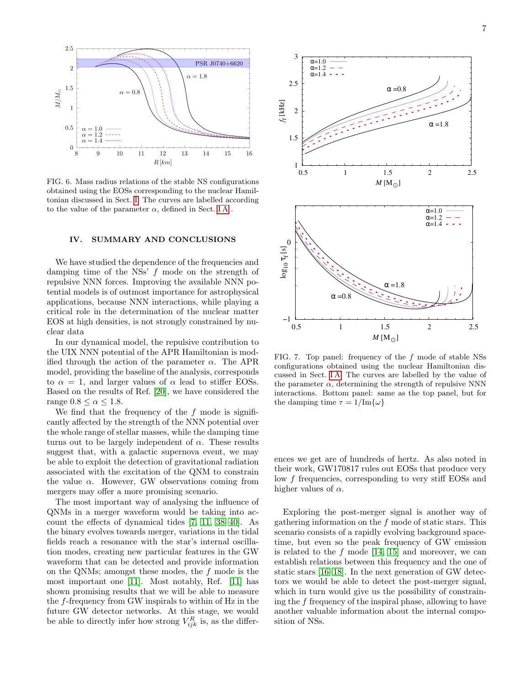

<span id="page-6-1"></span>FIG. 6. Mass radius relations of the stable NS configurations obtained using the EOSs corresponding to the nuclear Hamiltonian discussed in Sect. [I.](#page-1-0) The curves are labelled according to the value of the parameter  $\alpha$ , defined in Sect. IA.

### <span id="page-6-0"></span>IV. SUMMARY AND CONCLUSIONS

We have studied the dependence of the frequencies and damping time of the NSs' f mode on the strength of repulsive NNN forces. Improving the available NNN potential models is of outmost importance for astrophysical applications, because NNN interactions, while playing a critical role in the determination of the nuclear matter EOS at high densities, is not strongly constrained by nuclear data

In our dynamical model, the repulsive contribution to the UIX NNN potential of the APR Hamiltonian is modified through the action of the parameter  $\alpha$ . The APR model, providing the baseline of the analysis, corresponds to  $\alpha = 1$ , and larger values of  $\alpha$  lead to stiffer EOSs. Based on the results of Ref. [\[20\]](#page-7-18), we have considered the range  $0.8 \leq \alpha \leq 1.8$ .

We find that the frequency of the  $f$  mode is significantly affected by the strength of the NNN potential over the whole range of stellar masses, while the damping time turns out to be largely independent of  $\alpha$ . These results suggest that, with a galactic supernova event, we may be able to exploit the detection of gravitational radiation associated with the excitation of the QNM to constrain the value  $\alpha$ . However, GW observations coming from mergers may offer a more promising scenario.

The most important way of analysing the influence of QNMs in a merger waveform would be taking into account the effects of dynamical tides [\[7,](#page-7-4) [11,](#page-7-9) [38–](#page-7-35)[40\]](#page-7-36). As the binary evolves towards merger, variations in the tidal fields reach a resonance with the star's internal oscillation modes, creating new particular features in the GW waveform that can be detected and provide information on the QNMs; amongst these modes, the f mode is the most important one [\[11\]](#page-7-9). Most notably, Ref. [\[11\]](#page-7-9) has shown promising results that we will be able to measure the f-frequency from GW inspirals to within of Hz in the future GW detector networks. At this stage, we would be able to directly infer how strong  $V_{ijk}^R$  is, as the differ-



<span id="page-6-2"></span>FIG. 7. Top panel: frequency of the f mode of stable NSs configurations obtained using the nuclear Hamiltonian discussed in Sect. [I A.](#page-1-4) The curves are labelled by the value of the parameter  $\alpha$ , determining the strength of repulsive NNN interactions. Bottom panel: same as the top panel, but for the damping time  $\tau = 1/\text{Im}\{\omega\}$ 

ences we get are of hundreds of hertz. As also noted in their work, GW170817 rules out EOSs that produce very low f frequencies, corresponding to very stiff EOSs and higher values of  $\alpha$ .

Exploring the post-merger signal is another way of gathering information on the  $f$  mode of static stars. This scenario consists of a rapidly evolving background spacetime, but even so the peak frequency of GW emission is related to the  $f$  mode [\[14,](#page-7-12) [15\]](#page-7-13) and moreover, we can establish relations between this frequency and the one of static stars [\[16](#page-7-14)[–18\]](#page-7-15). In the next generation of GW detectors we would be able to detect the post-merger signal, which in turn would give us the possibility of constraining the f frequency of the inspiral phase, allowing to have another valuable information about the internal composition of NSs.